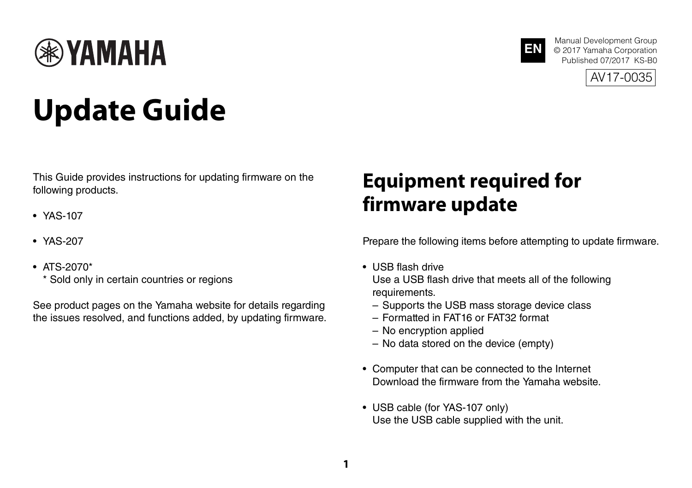

# **Update Guide**

This Guide provides instructions for updating firmware on the following products.

- YAS-107
- YAS-207
- ATS-2070\*
	- \* Sold only in certain countries or regions

See product pages on the Yamaha website for details regarding the issues resolved, and functions added, by updating firmware.

### **Equipment required for firmware update**

Prepare the following items before attempting to update firmware.

**EN**

Manual Development Group © 2017 Yamaha Corporation Published 07/2017 KS-B0 AV17-0035

- USB flash drive Use a USB flash drive that meets all of the following requirements.
	- Supports the USB mass storage device class
	- Formatted in FAT16 or FAT32 format
	- No encryption applied
	- No data stored on the device (empty)
- Computer that can be connected to the Internet Download the firmware from the Yamaha website.
- USB cable (for YAS-107 only) Use the USB cable supplied with the unit.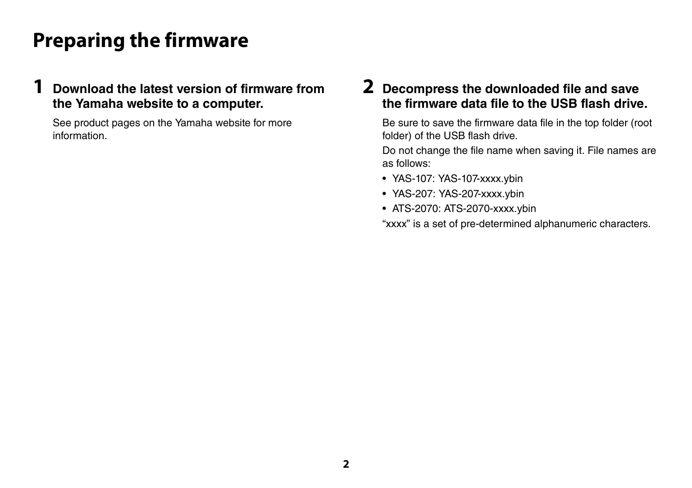### **Preparing the firmware**

#### **1 Download the latest version of firmware from the Yamaha website to a computer.**

See product pages on the Yamaha website for more information.

#### **2 Decompress the downloaded file and save the firmware data file to the USB flash drive.**

Be sure to save the firmware data file in the top folder (root folder) of the USB flash drive.

Do not change the file name when saving it. File names are as follows:

- YAS-107: YAS-107-xxxx.ybin
- YAS-207: YAS-207-xxxx.ybin
- ATS-2070: ATS-2070-xxxx.ybin

"xxxx" is a set of pre-determined alphanumeric characters.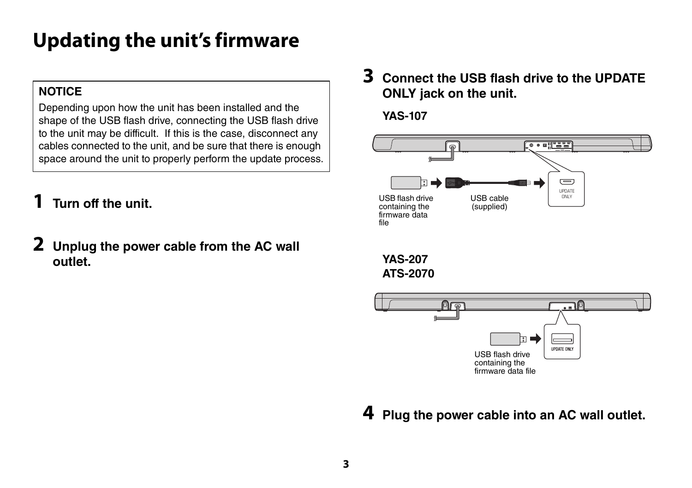## **Updating the unit's firmware**

#### **NOTICE**

Depending upon how the unit has been installed and the shape of the USB flash drive, connecting the USB flash drive to the unit may be difficult. If this is the case, disconnect any cables connected to the unit, and be sure that there is enough space around the unit to properly perform the update process.

- **1 Turn off the unit.**
- **2 Unplug the power cable from the AC wall outlet.**

**3 Connect the USB flash drive to the UPDATE ONLY jack on the unit.**

**YAS-107**





**4 Plug the power cable into an AC wall outlet.**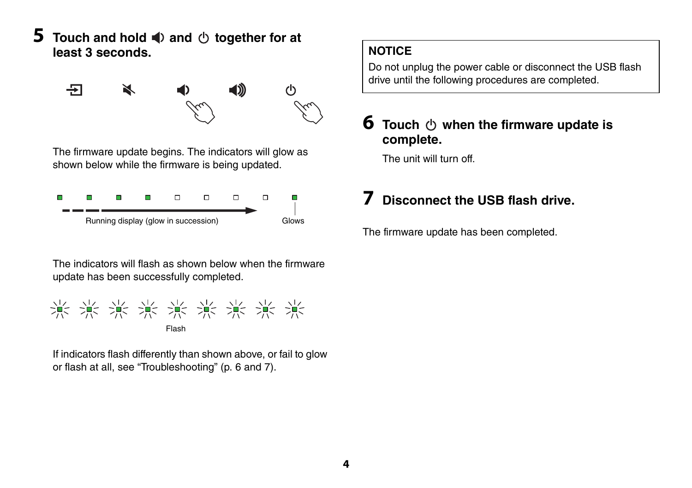**5** Touch and hold  $\blacklozenge$  and  $\triangle$  together for at **least 3 seconds.**

> 군 X ◀∭  $\mathcal{L}$

The firmware update begins. The indicators will glow as shown below while the firmware is being updated.



The indicators will flash as shown below when the firmware update has been successfully completed.



If indicators flash differently than shown above, or fail to glow or flash at all, see ["Troubleshooting](#page-5-0)" (p. [6](#page-5-0) and [7](#page-6-0)).

#### **NOTICE**

Do not unplug the power cable or disconnect the USB flash drive until the following procedures are completed.

#### **6** Touch  $\Diamond$  when the firmware update is **complete.**

The unit will turn off.

### **7 Disconnect the USB flash drive.**

The firmware update has been completed.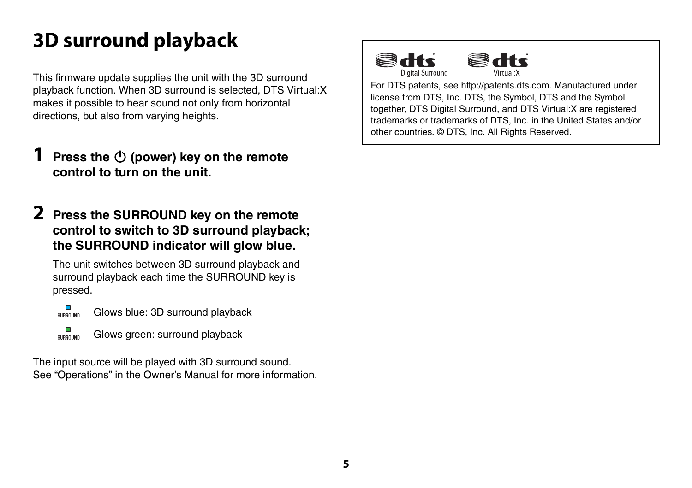## **3D surround playback**

This firmware update supplies the unit with the 3D surround playback function. When 3D surround is selected, DTS Virtual:X makes it possible to hear sound not only from horizontal directions, but also from varying heights.

- **Press the**  $\bigcirc$  **(power) key on the remote control to turn on the unit.**
- **2 Press the SURROUND key on the remote control to switch to 3D surround playback; the SURROUND indicator will glow blue.**

The unit switches between 3D surround playback and surround playback each time the SURROUND key is pressed.



Glows green: surround playback SURROUND

The input source will be played with 3D surround sound. See "Operations" in the Owner's Manual for more information.



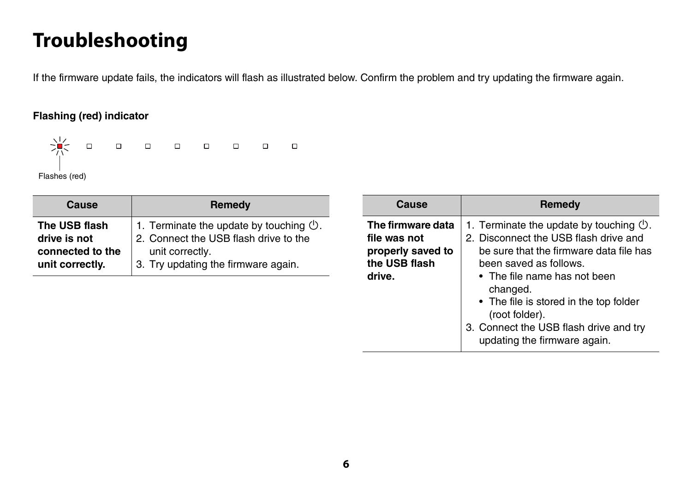### <span id="page-5-0"></span>**Troubleshooting**

If the firmware update fails, the indicators will flash as illustrated below. Confirm the problem and try updating the firmware again.

#### **Flashing (red) indicator**



| Cause                                                                | Remedy                                                                                                                                                      |
|----------------------------------------------------------------------|-------------------------------------------------------------------------------------------------------------------------------------------------------------|
| The USB flash<br>drive is not<br>connected to the<br>unit correctly. | 1. Terminate the update by touching $\circlearrowleft$ .<br>2. Connect the USB flash drive to the<br>unit correctly.<br>3. Try updating the firmware again. |

| Cause                                                                             | Remedy                                                                                                                                                                                                                                                                                                                                              |
|-----------------------------------------------------------------------------------|-----------------------------------------------------------------------------------------------------------------------------------------------------------------------------------------------------------------------------------------------------------------------------------------------------------------------------------------------------|
| The firmware data<br>file was not<br>properly saved to<br>the USB flash<br>drive. | 1. Terminate the update by touching $\mathcal{O}$ .<br>2. Disconnect the USB flash drive and<br>be sure that the firmware data file has<br>been saved as follows.<br>• The file name has not been<br>changed.<br>• The file is stored in the top folder<br>(root folder).<br>3. Connect the USB flash drive and try<br>updating the firmware again. |